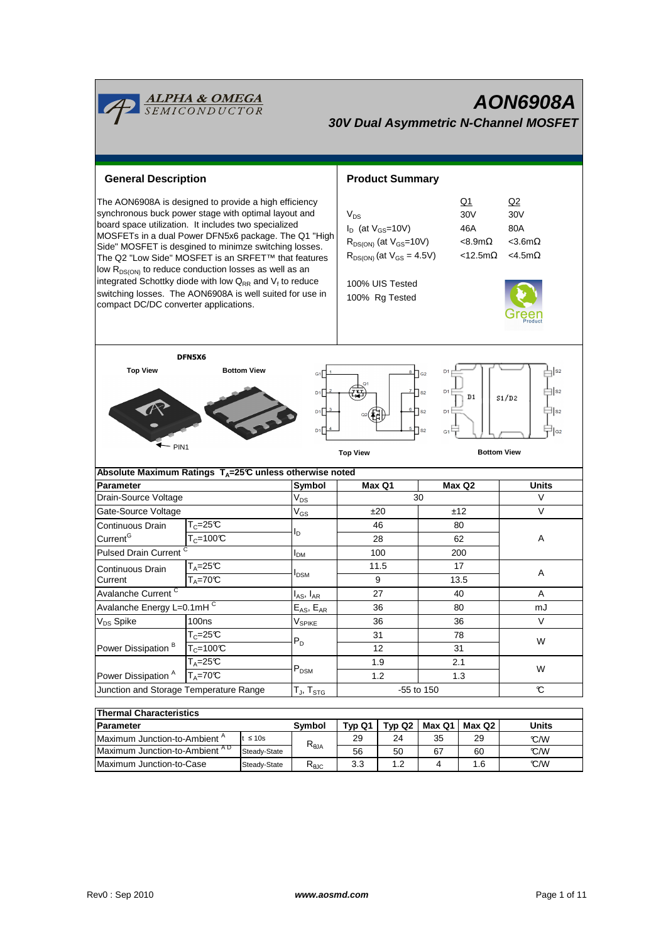| <mark>ALPHA &amp; OMEGA</mark><br>SEMICONDUCTOR<br><b>AON6908A</b><br><b>30V Dual Asymmetric N-Channel MOSFET</b>                                                                                                                                                                                                                                                                                                                                                                                                                                                                          |                                          |                                     |                                |                                                                                                                                                                                                                                                                                           |           |         |              |       |  |
|--------------------------------------------------------------------------------------------------------------------------------------------------------------------------------------------------------------------------------------------------------------------------------------------------------------------------------------------------------------------------------------------------------------------------------------------------------------------------------------------------------------------------------------------------------------------------------------------|------------------------------------------|-------------------------------------|--------------------------------|-------------------------------------------------------------------------------------------------------------------------------------------------------------------------------------------------------------------------------------------------------------------------------------------|-----------|---------|--------------|-------|--|
| <b>General Description</b>                                                                                                                                                                                                                                                                                                                                                                                                                                                                                                                                                                 |                                          |                                     |                                | <b>Product Summary</b>                                                                                                                                                                                                                                                                    |           |         |              |       |  |
| The AON6908A is designed to provide a high efficiency<br>synchronous buck power stage with optimal layout and<br>board space utilization. It includes two specialized<br>MOSFETs in a dual Power DFN5x6 package. The Q1 "High<br>Side" MOSFET is desgined to minimze switching losses.<br>The Q2 "Low Side" MOSFET is an SRFET™ that features<br>low R <sub>DS(ON)</sub> to reduce conduction losses as well as an<br>integrated Schottky diode with low $Q_{RR}$ and $V_f$ to reduce<br>switching losses. The AON6908A is well suited for use in<br>compact DC/DC converter applications. |                                          |                                     |                                | Q2<br>Q1<br>$V_{DS}$<br>30V<br>30 <sub>V</sub><br>$I_D$ (at $V_{GS}$ =10V)<br>46A<br>80A<br>$R_{DS(ON)}$ (at $V_{GS}$ =10V)<br>$< 8.9 m\Omega$<br>$<$ 3.6m $\Omega$<br>$R_{DS(ON)}$ (at $V_{GS} = 4.5V$ )<br>$<$ 12.5m $\Omega$<br>$<$ 4.5m $\Omega$<br>100% UIS Tested<br>100% Rg Tested |           |         |              |       |  |
| DFN5X6<br><b>Top View</b><br><b>Bottom View</b><br>D <sub>1</sub><br>S <sub>2</sub><br>$\mathsf{a}_2$<br>G <sub>1</sub><br>S <sub>2</sub><br>D <sub>1</sub><br>$\mathsf{I}_{\mathsf{S2}}$<br>D <sub>1</sub><br>D1<br>S1/D2<br>$\parallel$ s2<br>$\sqcap$ s <sub>2</sub><br>D <sub>1</sub><br>D1<br>D1<br>S <sub>2</sub><br>G <sub>2</sub><br>G <sub>1</sub><br>$-$ PIN1<br><b>Bottom View</b><br><b>Top View</b>                                                                                                                                                                           |                                          |                                     |                                |                                                                                                                                                                                                                                                                                           |           |         |              |       |  |
| Absolute Maximum Ratings $T_A = 25^\circ \text{C}$ unless otherwise noted                                                                                                                                                                                                                                                                                                                                                                                                                                                                                                                  |                                          |                                     |                                |                                                                                                                                                                                                                                                                                           |           |         |              |       |  |
| <b>Parameter</b>                                                                                                                                                                                                                                                                                                                                                                                                                                                                                                                                                                           |                                          |                                     | Symbol                         |                                                                                                                                                                                                                                                                                           | Max Q1    |         | Max Q2       | Units |  |
| Drain-Source Voltage                                                                                                                                                                                                                                                                                                                                                                                                                                                                                                                                                                       |                                          |                                     | $\mathsf{V}_{\mathsf{DS}}$     | 30                                                                                                                                                                                                                                                                                        |           |         | V            |       |  |
| Gate-Source Voltage                                                                                                                                                                                                                                                                                                                                                                                                                                                                                                                                                                        |                                          |                                     | V <sub>GS</sub>                |                                                                                                                                                                                                                                                                                           | ±20       |         | ±12          | V     |  |
| Continuous Drain                                                                                                                                                                                                                                                                                                                                                                                                                                                                                                                                                                           | $\mathsf{T}_{\mathbb C}$ =25 $\mathbb C$ |                                     | Iр                             |                                                                                                                                                                                                                                                                                           | 46        | 80      |              |       |  |
| Current <sup>G</sup>                                                                                                                                                                                                                                                                                                                                                                                                                                                                                                                                                                       | $T_c = 100C$                             |                                     |                                | 28                                                                                                                                                                                                                                                                                        |           | 62      |              | A     |  |
| Pulsed Drain Current <sup>C</sup>                                                                                                                                                                                                                                                                                                                                                                                                                                                                                                                                                          |                                          | <b>I</b> <sub>DM</sub>              | 100                            |                                                                                                                                                                                                                                                                                           | 200       |         |              |       |  |
| Continuous Drain                                                                                                                                                                                                                                                                                                                                                                                                                                                                                                                                                                           | $T_A = 25C$                              |                                     | I <sub>DSM</sub>               | 11.5                                                                                                                                                                                                                                                                                      |           | 17      |              | Α     |  |
| Current                                                                                                                                                                                                                                                                                                                                                                                                                                                                                                                                                                                    | $T_A = 70$ °C                            |                                     |                                | 9                                                                                                                                                                                                                                                                                         |           | 13.5    |              |       |  |
| Avalanche Current <sup>C</sup>                                                                                                                                                                                                                                                                                                                                                                                                                                                                                                                                                             |                                          |                                     | $I_{AS}$ , $I_{AR}$            |                                                                                                                                                                                                                                                                                           | 27        |         | 40           | Α     |  |
| Avalanche Energy L=0.1mH <sup>C</sup>                                                                                                                                                                                                                                                                                                                                                                                                                                                                                                                                                      |                                          |                                     | $E_{AS}$ , $E_{AR}$            | 36                                                                                                                                                                                                                                                                                        |           | 80      |              | mJ    |  |
| V <sub>DS</sub> Spike                                                                                                                                                                                                                                                                                                                                                                                                                                                                                                                                                                      | 100ns                                    |                                     | $\mathsf{V}_{\mathsf{SPIKE}}$  | 36                                                                                                                                                                                                                                                                                        |           | 36      |              | V     |  |
| Power Dissipation <sup>B</sup>                                                                                                                                                                                                                                                                                                                                                                                                                                                                                                                                                             | $T_c = 25C$<br>$T_c = 100C$              |                                     | $P_D$                          |                                                                                                                                                                                                                                                                                           | 31        | 78      |              | W     |  |
|                                                                                                                                                                                                                                                                                                                                                                                                                                                                                                                                                                                            |                                          |                                     |                                | 12                                                                                                                                                                                                                                                                                        |           |         | 31           |       |  |
| $T_A = 25C$                                                                                                                                                                                                                                                                                                                                                                                                                                                                                                                                                                                |                                          |                                     | 1.9                            |                                                                                                                                                                                                                                                                                           | 2.1       |         |              |       |  |
| Power Dissipation <sup>A</sup><br>$T_A = 70^\circ C$                                                                                                                                                                                                                                                                                                                                                                                                                                                                                                                                       |                                          | $\mathsf{P}_\mathsf{DSM}$           | 1.2                            |                                                                                                                                                                                                                                                                                           | 1.3       |         | W            |       |  |
| Junction and Storage Temperature Range                                                                                                                                                                                                                                                                                                                                                                                                                                                                                                                                                     |                                          |                                     | $T_{J}$ , $T_{STG}$            | -55 to 150                                                                                                                                                                                                                                                                                |           |         |              | C     |  |
|                                                                                                                                                                                                                                                                                                                                                                                                                                                                                                                                                                                            |                                          |                                     |                                |                                                                                                                                                                                                                                                                                           |           |         |              |       |  |
| <b>Thermal Characteristics</b>                                                                                                                                                                                                                                                                                                                                                                                                                                                                                                                                                             |                                          |                                     |                                |                                                                                                                                                                                                                                                                                           |           |         |              |       |  |
| Parameter                                                                                                                                                                                                                                                                                                                                                                                                                                                                                                                                                                                  |                                          | Symbol                              | Typ Q1                         | Typ Q2                                                                                                                                                                                                                                                                                    | Max Q1    | Max Q2  | <b>Units</b> |       |  |
| Maximum Junction-to-Ambient A<br>$t \leq 10s$                                                                                                                                                                                                                                                                                                                                                                                                                                                                                                                                              |                                          | $\mathsf{R}_{\uptheta \mathsf{JA}}$ | 29<br>56                       | 24                                                                                                                                                                                                                                                                                        | 35        | 29      | °C/W<br>°C/W |       |  |
| Maximum Junction-to-Ambient AD<br>Steady-State                                                                                                                                                                                                                                                                                                                                                                                                                                                                                                                                             |                                          |                                     | $\mathsf{R}_{\theta\text{JC}}$ | 3.3                                                                                                                                                                                                                                                                                       | 50<br>1.2 | 67<br>4 | 60<br>1.6    | C/W   |  |
| Maximum Junction-to-Case<br>Steady-State                                                                                                                                                                                                                                                                                                                                                                                                                                                                                                                                                   |                                          |                                     |                                |                                                                                                                                                                                                                                                                                           |           |         |              |       |  |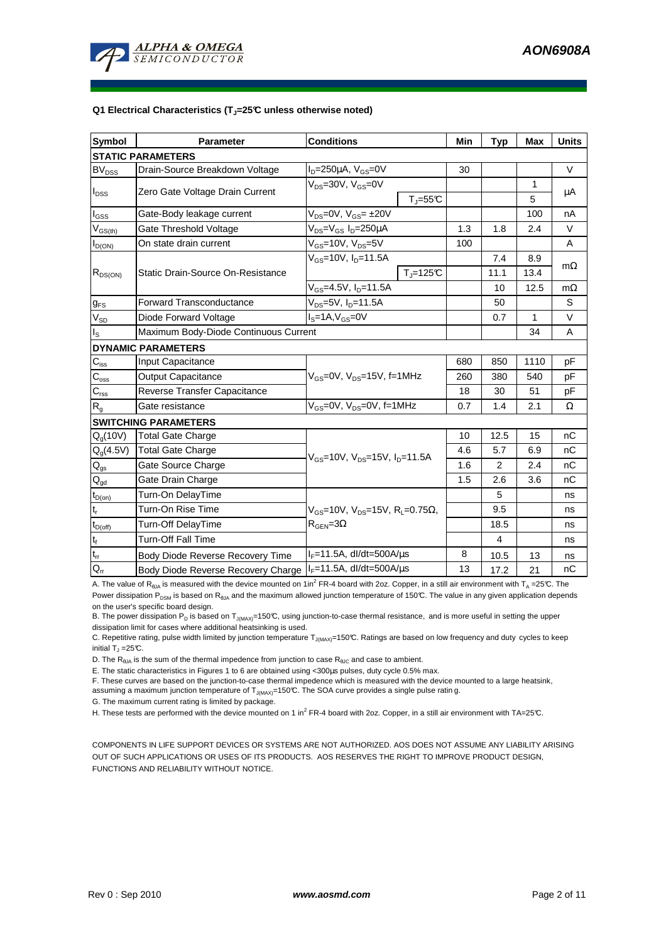

#### **Q1 Electrical Characteristics (TJ=25°C unless otherwise noted)**

| <b>Symbol</b>                           | <b>Parameter</b>                      | <b>Conditions</b>                                                                           |              |     | <b>Typ</b> | <b>Max</b>   | <b>Units</b> |  |  |
|-----------------------------------------|---------------------------------------|---------------------------------------------------------------------------------------------|--------------|-----|------------|--------------|--------------|--|--|
| <b>STATIC PARAMETERS</b>                |                                       |                                                                                             |              |     |            |              |              |  |  |
| <b>BV<sub>DSS</sub></b>                 | Drain-Source Breakdown Voltage        | $I_D = 250 \mu A$ , $V_{GS} = 0V$                                                           |              | 30  |            |              | $\vee$       |  |  |
| $I_{DSS}$                               | Zero Gate Voltage Drain Current       | $V_{DS}$ =30V, $V_{GS}$ =0V<br>$T_{\text{J}} = 55^{\circ}C$                                 |              |     |            | 1            | μA           |  |  |
|                                         |                                       |                                                                                             |              |     |            | 5            |              |  |  |
| $I_{GSS}$                               | Gate-Body leakage current             | $V_{DS} = 0V$ , $V_{GS} = \pm 20V$                                                          |              |     |            | 100          | nA           |  |  |
| $\mathsf{V}_{\mathsf{GS}(\mathsf{th})}$ | Gate Threshold Voltage                | $V_{DS} = V_{GS} I_D = 250 \mu A$                                                           |              | 1.3 | 1.8        | 2.4          | $\vee$       |  |  |
| $I_{D(ON)}$                             | On state drain current                | $V_{GS}$ =10V, $V_{DS}$ =5V                                                                 |              | 100 |            |              | A            |  |  |
| $R_{DS(ON)}$                            | Static Drain-Source On-Resistance     | $V_{GS}$ =10V, $I_{D}$ =11.5A                                                               |              |     | 7.4        | 8.9          |              |  |  |
|                                         |                                       |                                                                                             | $T_i = 125C$ |     | 11.1       | 13.4         | $m\Omega$    |  |  |
|                                         |                                       | $V_{GS}$ =4.5V, $I_{D}$ =11.5A                                                              |              | 10  | 12.5       | $m\Omega$    |              |  |  |
| $g_{FS}$                                | <b>Forward Transconductance</b>       | $V_{DS} = 5V$ , $I_D = 11.5A$                                                               |              |     | 50         |              | S            |  |  |
| $V_{SD}$                                | Diode Forward Voltage                 | $IS=1A, VGS=0V$                                                                             |              |     | 0.7        | $\mathbf{1}$ | V            |  |  |
| $I_{\rm S}$                             | Maximum Body-Diode Continuous Current |                                                                                             |              |     |            | 34           | A            |  |  |
|                                         | <b>DYNAMIC PARAMETERS</b>             |                                                                                             |              |     |            |              |              |  |  |
| $C_{\text{iss}}$                        | Input Capacitance                     |                                                                                             |              |     | 850        | 1110         | рF           |  |  |
| $C_{\rm oss}$                           | <b>Output Capacitance</b>             | $V_{GS}$ =0V, $V_{DS}$ =15V, f=1MHz                                                         |              | 260 | 380        | 540          | pF           |  |  |
| $C_{\rm rss}$                           | Reverse Transfer Capacitance          |                                                                                             |              | 18  | 30         | 51           | pF           |  |  |
| $R_{g}$                                 | Gate resistance                       | $V_{GS}$ =0V, $V_{DS}$ =0V, f=1MHz                                                          |              | 0.7 | 1.4        | 2.1          | Ω            |  |  |
|                                         | <b>SWITCHING PARAMETERS</b>           |                                                                                             |              |     |            |              |              |  |  |
| Q <sub>a</sub> (10V)                    | <b>Total Gate Charge</b>              | $V_{\text{GS}}$ =10V, $V_{\text{DS}}$ =15V, $I_{\text{D}}$ =11.5A                           |              | 10  | 12.5       | 15           | nC           |  |  |
| $Q_g(4.5V)$                             | <b>Total Gate Charge</b>              |                                                                                             |              | 4.6 | 5.7        | 6.9          | nC           |  |  |
| $\mathsf{Q}_{\underline{\text{gs}}}$    | Gate Source Charge                    |                                                                                             |              | 1.6 | 2          | 2.4          | nC           |  |  |
| $Q_{gd}$                                | Gate Drain Charge                     |                                                                                             |              |     | 2.6        | 3.6          | nC           |  |  |
| $t_{D(on)}$                             | Turn-On DelayTime                     |                                                                                             |              |     | 5          |              | ns           |  |  |
| $\mathfrak{t}_{\mathsf{r}}$             | Turn-On Rise Time                     | $V_{GS}$ =10V, $V_{DS}$ =15V, R <sub>L</sub> =0.75 $\Omega$ ,<br>$R_{\text{GEN}} = 3\Omega$ |              |     | 9.5        |              | ns           |  |  |
| $t_{D(\underline{off})}$                | Turn-Off DelayTime                    |                                                                                             |              |     | 18.5       |              | ns           |  |  |
| $t_f$                                   | <b>Turn-Off Fall Time</b>             |                                                                                             |              |     | 4          |              | ns           |  |  |
| $t_{rr}$                                | Body Diode Reverse Recovery Time      | $I_F = 11.5A$ , dl/dt=500A/ $\mu$ s                                                         |              | 8   | 10.5       | 13           | ns           |  |  |
| $Q_{rr}$                                | Body Diode Reverse Recovery Charge    | $I_F = 11.5A$ , dl/dt=500A/ $\mu$ s                                                         |              | 13  | 17.2       | 21           | nC           |  |  |

A. The value of R<sub>θJA</sub> is measured with the device mounted on 1in<sup>2</sup> FR-4 board with 2oz. Copper, in a still air environment with T<sub>A</sub>=25℃. The

Power dissipation P<sub>DSM</sub> is based on R<sub>θJA</sub> and the maximum allowed junction temperature of 150°C. The value in any given application depends on the user's specific board design.

B. The power dissipation P<sub>D</sub> is based on T<sub>J(MAX)</sub>=150°C, using junction-to-case thermal resistance, and is more useful in setting the upper dissipation limit for cases where additional heatsinking is used.

C. Repetitive rating, pulse width limited by junction temperature  $T_{J(MAX)}$ =150°C. Ratings are based on low frequency and duty cycles to keep initial T $_{\textrm{\scriptsize{J}}}$  =25°C.

D. The  $R_{\theta JA}$  is the sum of the thermal impedence from junction to case  $R_{\theta JC}$  and case to ambient.

E. The static characteristics in Figures 1 to 6 are obtained using <300µs pulses, duty cycle 0.5% max.

F. These curves are based on the junction-to-case thermal impedence which is measured with the device mounted to a large heatsink,

assuming a maximum junction temperature of  $T_{J(MAX)}$ =150°C. The SOA curve provides a single pulse ratin g.

G. The maximum current rating is limited by package.

H. These tests are performed with the device mounted on 1 in<sup>2</sup> FR-4 board with 2oz. Copper, in a still air environment with TA=25°C.

COMPONENTS IN LIFE SUPPORT DEVICES OR SYSTEMS ARE NOT AUTHORIZED. AOS DOES NOT ASSUME ANY LIABILITY ARISING OUT OF SUCH APPLICATIONS OR USES OF ITS PRODUCTS. AOS RESERVES THE RIGHT TO IMPROVE PRODUCT DESIGN, FUNCTIONS AND RELIABILITY WITHOUT NOTICE.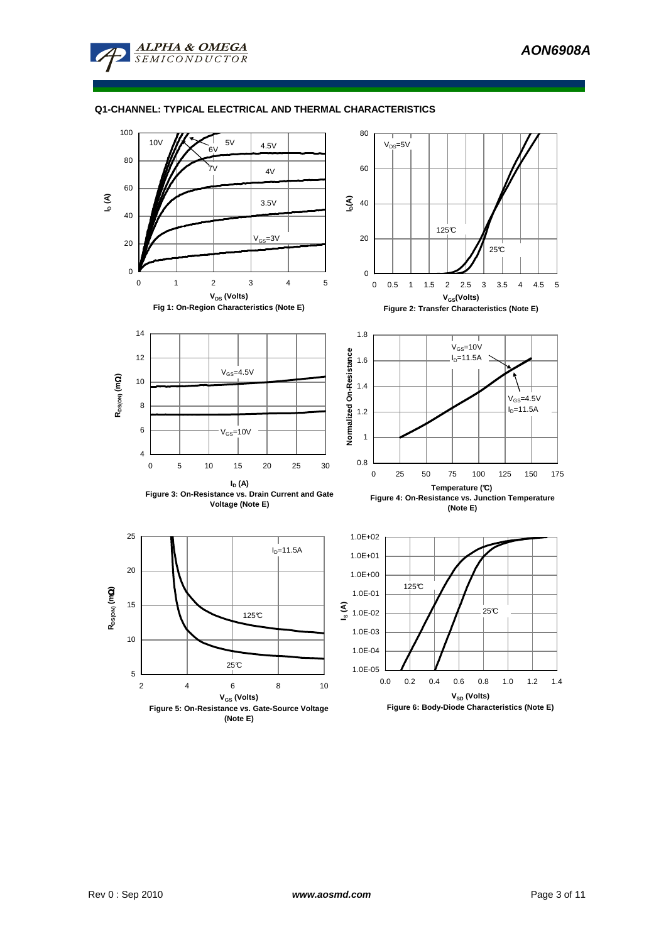

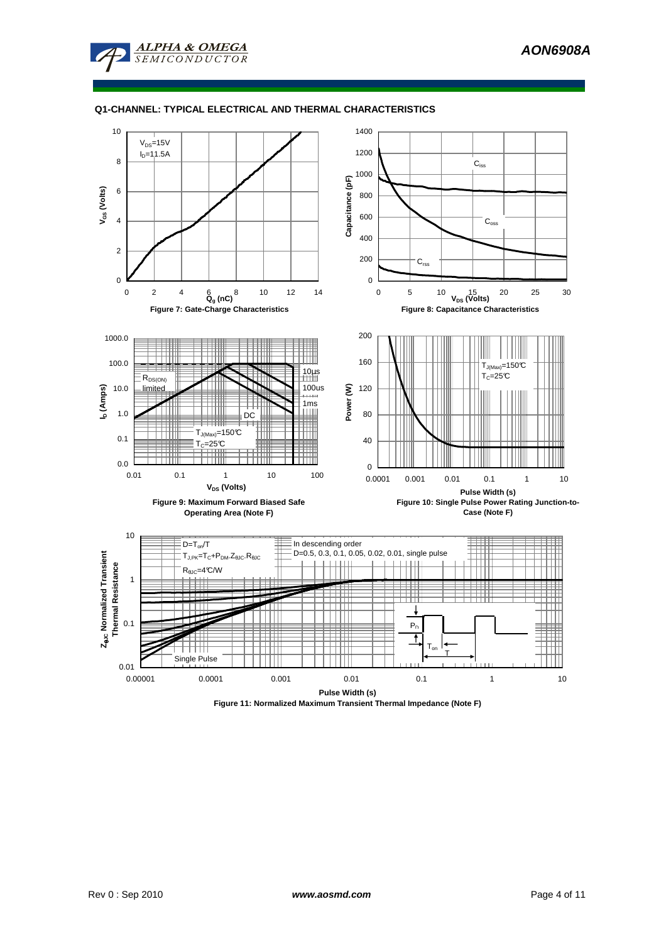



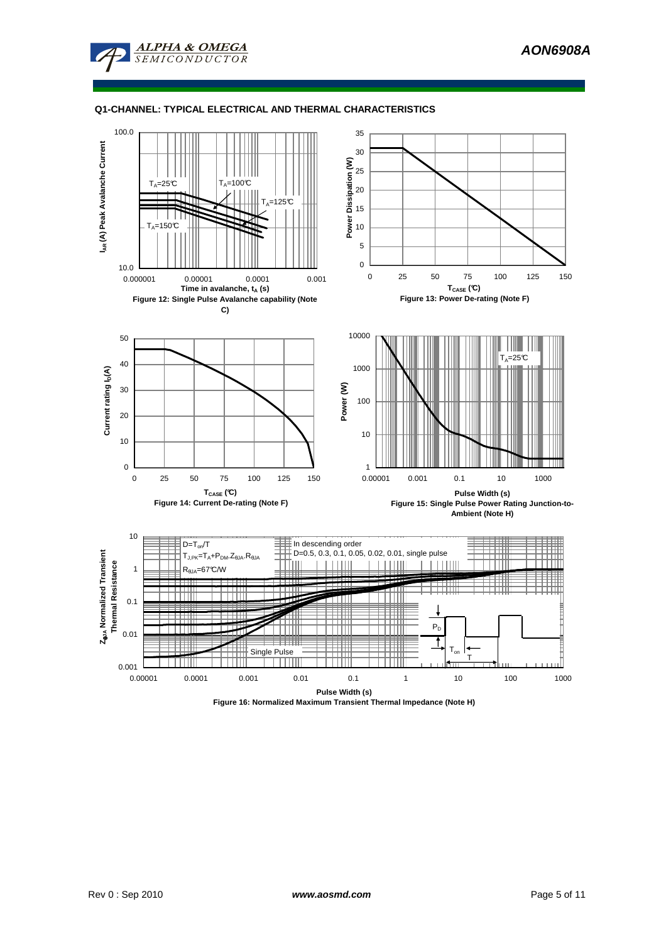



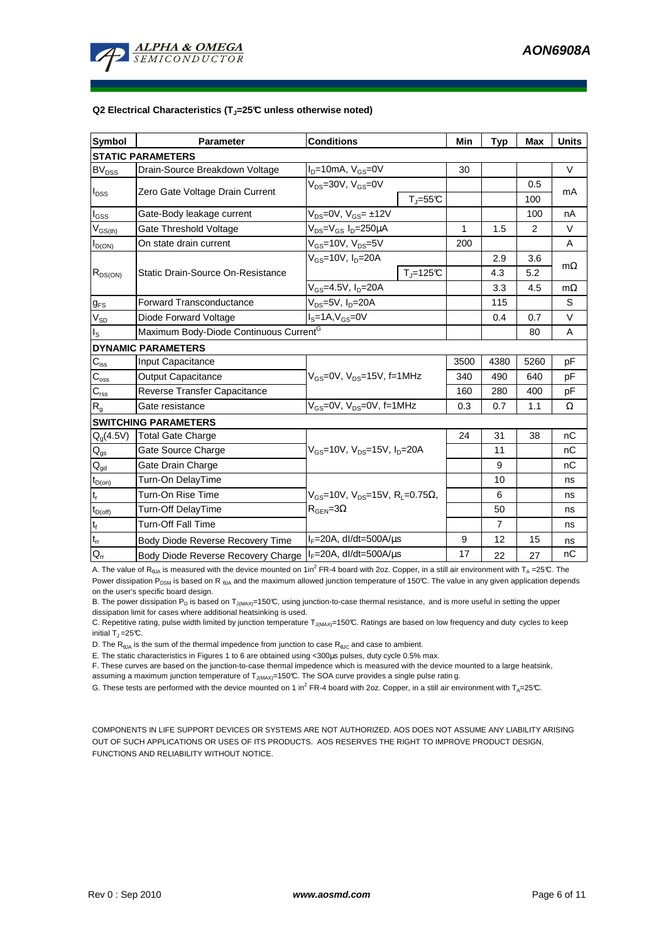

#### **Q2 Electrical Characteristics (TJ=25°C unless otherwise noted)**

| <b>Symbol</b>                           | <b>Parameter</b>                                   | <b>Conditions</b>                                                                                           |              | Min  | <b>Typ</b>     | <b>Max</b> | <b>Units</b> |  |  |
|-----------------------------------------|----------------------------------------------------|-------------------------------------------------------------------------------------------------------------|--------------|------|----------------|------------|--------------|--|--|
| <b>STATIC PARAMETERS</b>                |                                                    |                                                                                                             |              |      |                |            |              |  |  |
| <b>BV<sub>DSS</sub></b>                 | Drain-Source Breakdown Voltage                     | $I_D = 10mA$ , $V_{GS} = 0V$                                                                                |              | 30   |                |            | $\vee$       |  |  |
| $I_{\text{DSS}}$                        | Zero Gate Voltage Drain Current                    | $V_{DS}$ =30V, $V_{GS}$ =0V<br>$T_{\text{J}} = 55^{\circ}C$                                                 |              |      |                | 0.5        | mA           |  |  |
|                                         |                                                    |                                                                                                             |              |      |                | 100        |              |  |  |
| $I_{GSS}$                               | Gate-Body leakage current                          | $V_{DS} = 0V$ , $V_{GS} = \pm 12V$                                                                          |              |      |                | 100        | nA           |  |  |
| $\mathsf{V}_{\mathsf{GS}(\mathsf{th})}$ | Gate Threshold Voltage                             | V <sub>DS</sub> =V <sub>GS</sub> I <sub>D</sub> =250µA                                                      |              | 1    | 1.5            | 2          | V            |  |  |
| $I_{D(ON)}$                             | On state drain current                             | $V_{GS}$ =10V, $V_{DS}$ =5V                                                                                 |              | 200  |                |            | A            |  |  |
| $R_{DS(ON)}$                            | Static Drain-Source On-Resistance                  | $V_{GS}$ =10V, $I_D$ =20A                                                                                   |              |      | 2.9            | 3.6        | $m\Omega$    |  |  |
|                                         |                                                    |                                                                                                             | $T_i = 125C$ |      | 4.3            | 5.2        |              |  |  |
|                                         |                                                    | $V_{GS}$ =4.5V, I <sub>D</sub> =20A                                                                         |              |      | 3.3            | 4.5        | $m\Omega$    |  |  |
| $g_{FS}$                                | <b>Forward Transconductance</b>                    | $V_{DS} = 5V$ , $I_D = 20A$                                                                                 |              | 115  |                | S          |              |  |  |
| $V_{SD}$                                | Diode Forward Voltage                              | $IS=1A, VGS=0V$                                                                                             |              | 0.4  | 0.7            | V          |              |  |  |
| $I_{\rm S}$                             | Maximum Body-Diode Continuous Current <sup>G</sup> |                                                                                                             |              |      | 80             | A          |              |  |  |
|                                         | <b>DYNAMIC PARAMETERS</b>                          |                                                                                                             |              |      |                |            |              |  |  |
| $C_{\text{iss}}$                        | Input Capacitance                                  |                                                                                                             |              | 3500 | 4380           | 5260       | pF           |  |  |
| $C_{\rm oss}$                           | <b>Output Capacitance</b>                          | $V_{GS}$ =0V, $V_{DS}$ =15V, f=1MHz                                                                         |              | 340  | 490            | 640        | pF           |  |  |
| $C_{\text{rss}}$                        | Reverse Transfer Capacitance                       |                                                                                                             | 160          | 280  | 400            | pF         |              |  |  |
| $R_{q}$                                 | Gate resistance                                    | $V_{GS}$ =0V, $V_{DS}$ =0V, f=1MHz                                                                          |              | 0.3  | 0.7            | 1.1        | Ω            |  |  |
| <b>SWITCHING PARAMETERS</b>             |                                                    |                                                                                                             |              |      |                |            |              |  |  |
| $Q_q(4.5V)$                             | <b>Total Gate Charge</b>                           | $V_{\text{GS}}$ =10V, $V_{\text{DS}}$ =15V, $I_{\text{D}}$ =20A                                             |              | 24   | 31             | 38         | nC           |  |  |
| $\mathsf{Q}_{\mathsf{gs}}$              | Gate Source Charge                                 |                                                                                                             |              |      | 11             |            | nC           |  |  |
| $Q_{gd}$                                | Gate Drain Charge                                  |                                                                                                             |              |      | 9              |            | nC           |  |  |
| $t_{D(on)}$                             | Turn-On DelayTime                                  |                                                                                                             |              |      | 10             |            | ns           |  |  |
| $\mathfrak{t}_{\mathsf{r}}$             | Turn-On Rise Time                                  | $V_{\text{GS}} = 10V$ , $V_{\text{DS}} = 15V$ , $R_{\text{I}} = 0.75\Omega$ ,<br>$R_{\text{GEN}} = 3\Omega$ |              |      | 6              |            | ns           |  |  |
| $t_{D(off)}$                            | Turn-Off DelayTime                                 |                                                                                                             |              |      | 50             |            | ns           |  |  |
| $t_f$                                   | Turn-Off Fall Time                                 |                                                                                                             |              |      | $\overline{7}$ |            | ns           |  |  |
| $t_{rr}$                                | Body Diode Reverse Recovery Time                   | $I_F = 20A$ , dl/dt=500A/ $\mu$ s                                                                           |              | 9    | 12             | 15         | ns           |  |  |
| $Q_{rr}$                                | Body Diode Reverse Recovery Charge                 | $I_F = 20A$ , dl/dt=500A/ $\mu$ s                                                                           |              | 17   | 22             | 27         | nC           |  |  |

A. The value of R<sub>θJA</sub> is measured with the device mounted on 1in<sup>2</sup> FR-4 board with 2oz. Copper, in a still air environment with T<sub>A</sub> =25°C. The Power dissipation P<sub>DSM</sub> is based on R<sub>6JA</sub> and the maximum allowed junction temperature of 150°C. The value in any given application depends on the user's specific board design.

B. The power dissipation P<sub>D</sub> is based on T<sub>J(MAX)</sub>=150°C, using junction-to-case thermal resistance, and is more useful in setting the upper dissipation limit for cases where additional heatsinking is used.

C. Repetitive rating, pulse width limited by junction temperature  $T_{J(MAX)}$ =150°C. Ratings are based on low frequency and duty cycles to keep initial  $T_1 = 25^{\circ}C$ .

D. The  $R_{\theta JA}$  is the sum of the thermal impedence from junction to case  $R_{\theta JC}$  and case to ambient.

E. The static characteristics in Figures 1 to 6 are obtained using <300µs pulses, duty cycle 0.5% max.

F. These curves are based on the junction-to-case thermal impedence which is measured with the device mounted to a large heatsink, assuming a maximum junction temperature of  $T_{J(MAX)}$ =150°C. The SOA curve provides a single pulse ratin g.

G. These tests are performed with the device mounted on 1 in<sup>2</sup> FR-4 board with 2oz. Copper, in a still air environment with T<sub>A</sub>=25°C.

COMPONENTS IN LIFE SUPPORT DEVICES OR SYSTEMS ARE NOT AUTHORIZED. AOS DOES NOT ASSUME ANY LIABILITY ARISING OUT OF SUCH APPLICATIONS OR USES OF ITS PRODUCTS. AOS RESERVES THE RIGHT TO IMPROVE PRODUCT DESIGN, FUNCTIONS AND RELIABILITY WITHOUT NOTICE.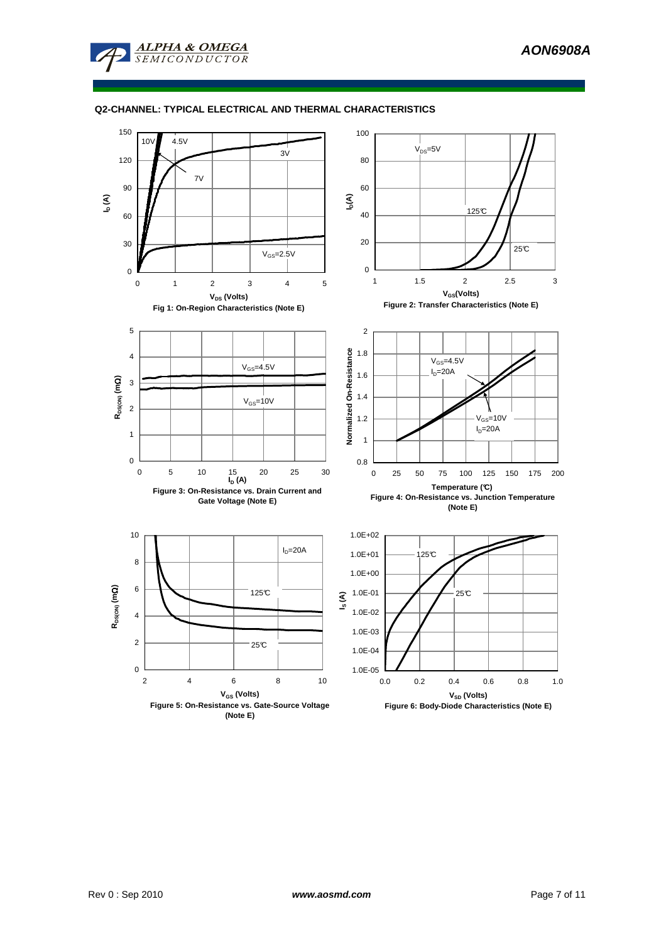

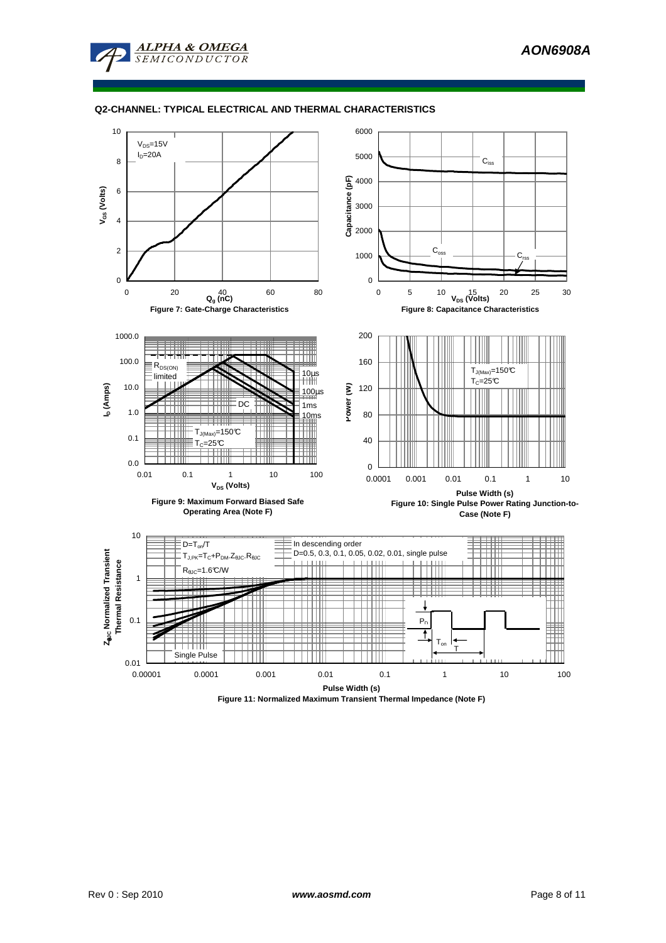



**Figure 11: Normalized Maximum Transient Thermal Impedance (Note F)**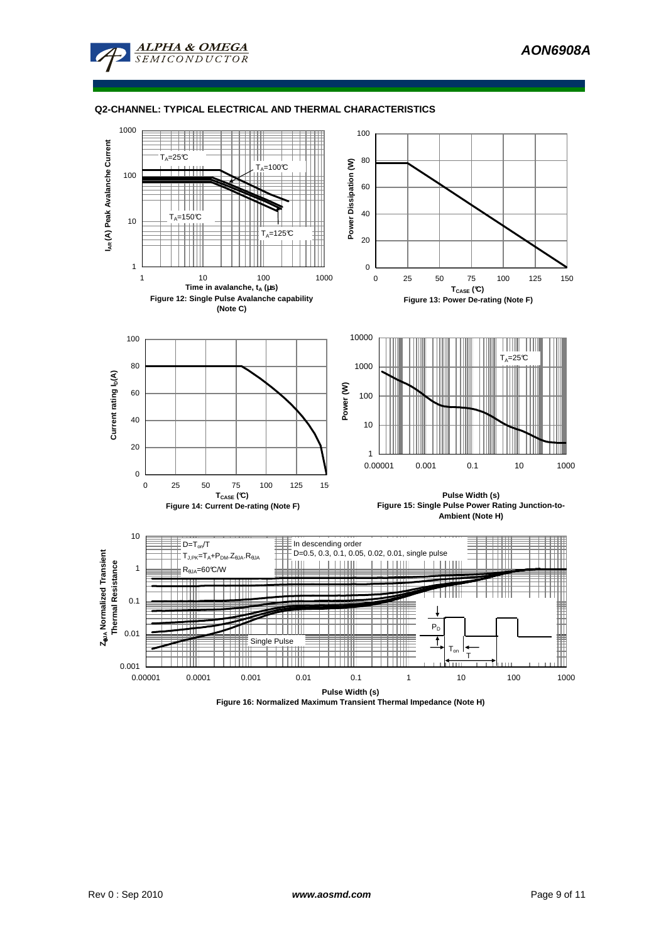



**Figure 16: Normalized Maximum Transient Thermal Impedance (Note H)**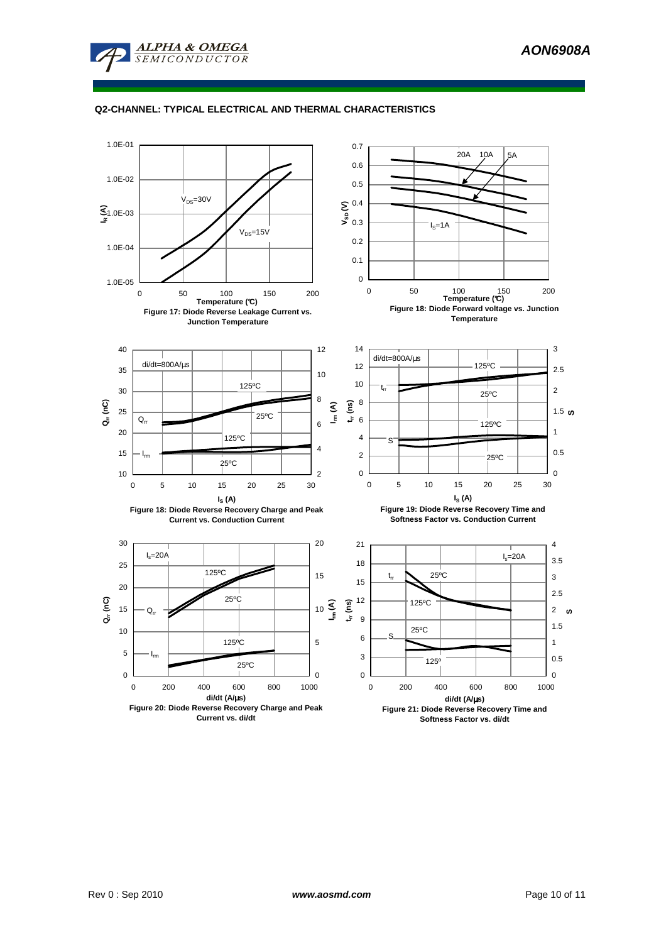